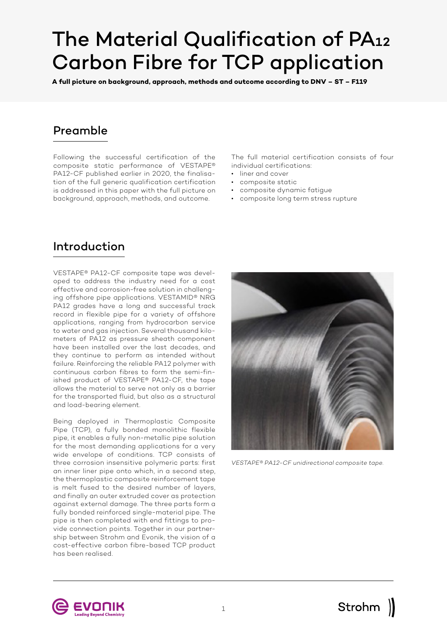# The Material Qualification of PA12 Carbon Fibre for TCP application

**A full picture on background, approach, methods and outcome according to DNV – ST – F119**

## Preamble

Following the successful certification of the composite static performance of VESTAPE® PA12-CF published earlier in 2020, the finalisation of the full generic qualification certification is addressed in this paper with the full picture on background, approach, methods, and outcome.

The full material certification consists of four individual certifications:

- liner and cover
- composite static
- composite dynamic fatigue
- composite long term stress rupture

#### Introduction

VESTAPE® PA12-CF composite tape was developed to address the industry need for a cost effective and corrosion-free solution in challenging offshore pipe applications. VESTAMID® NRG PA12 grades have a long and successful track record in flexible pipe for a variety of offshore applications, ranging from hydrocarbon service to water and gas injection. Several thousand kilometers of PA12 as pressure sheath component have been installed over the last decades, and they continue to perform as intended without failure. Reinforcing the reliable PA12 polymer with continuous carbon fibres to form the semi-finished product of VESTAPE® PA12-CF, the tape allows the material to serve not only as a barrier for the transported fluid, but also as a structural and load-bearing element.

Being deployed in Thermoplastic Composite Pipe (TCP), a fully bonded monolithic flexible pipe, it enables a fully non-metallic pipe solution for the most demanding applications for a very wide envelope of conditions. TCP consists of three corrosion insensitive polymeric parts: first an inner liner pipe onto which, in a second step, the thermoplastic composite reinforcement tape is melt fused to the desired number of layers, and finally an outer extruded cover as protection against external damage. The three parts form a fully bonded reinforced single-material pipe. The pipe is then completed with end fittings to provide connection points. Together in our partnership between Strohm and Evonik, the vision of a cost-effective carbon fibre-based TCP product has been realised.



*VESTAPE® PA12-CF unidirectional composite tape.*

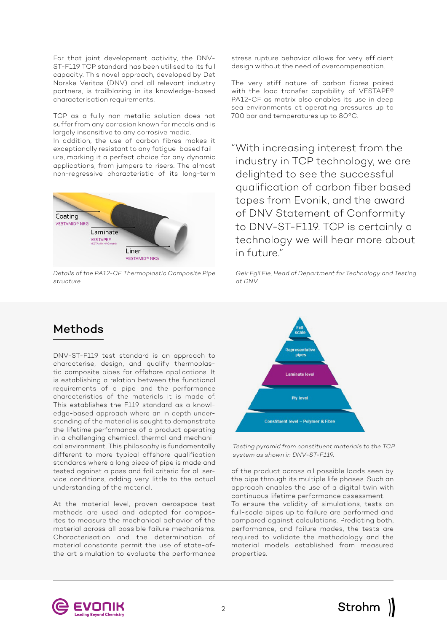For that joint development activity, the DNV-ST-F119 TCP standard has been utilised to its full capacity. This novel approach, developed by Det Norske Veritas (DNV) and all relevant industry partners, is trailblazing in its knowledge-based characterisation requirements.

TCP as a fully non-metallic solution does not suffer from any corrosion known for metals and is largely insensitive to any corrosive media. In addition, the use of carbon fibres makes it exceptionally resistant to any fatigue-based failure, marking it a perfect choice for any dynamic applications, from jumpers to risers. The almost non-regressive characteristic of its long-term



*Details of the PA12-CF Thermoplastic Composite Pipe structure.*

stress rupture behavior allows for very efficient design without the need of overcompensation.

The very stiff nature of carbon fibres paired with the load transfer capability of VESTAPE® PA12-CF as matrix also enables its use in deep sea environments at operating pressures up to 700 bar and temperatures up to 80°C.

"With increasing interest from the industry in TCP technology, we are delighted to see the successful qualification of carbon fiber based tapes from Evonik, and the award of DNV Statement of Conformity to DNV-ST-F119. TCP is certainly a technology we will hear more about in future."

*Geir Egil Eie, Head of Department for Technology and Testing at DNV.*



*Testing pyramid from constituent materials to the TCP system as shown in DNV-ST-F119.* 

of the product across all possible loads seen by the pipe through its multiple life phases. Such an approach enables the use of a digital twin with continuous lifetime performance assessment.

To ensure the validity of simulations, tests on full-scale pipes up to failure are performed and compared against calculations. Predicting both, performance, and failure modes, the tests are required to validate the methodology and the material models established from measured properties.

## Methods

DNV-ST-F119 test standard is an approach to characterise, design, and qualify thermoplastic composite pipes for offshore applications. It is establishing a relation between the functional requirements of a pipe and the performance characteristics of the materials it is made of. This establishes the F119 standard as a knowledge-based approach where an in depth understanding of the material is sought to demonstrate the lifetime performance of a product operating in a challenging chemical, thermal and mechanical environment. This philosophy is fundamentally different to more typical offshore qualification standards where a long piece of pipe is made and tested against a pass and fail criteria for all service conditions, adding very little to the actual understanding of the material.

At the material level, proven aerospace test methods are used and adapted for composites to measure the mechanical behavior of the material across all possible failure mechanisms. Characterisation and the determination of material constants permit the use of state-ofthe art simulation to evaluate the performance

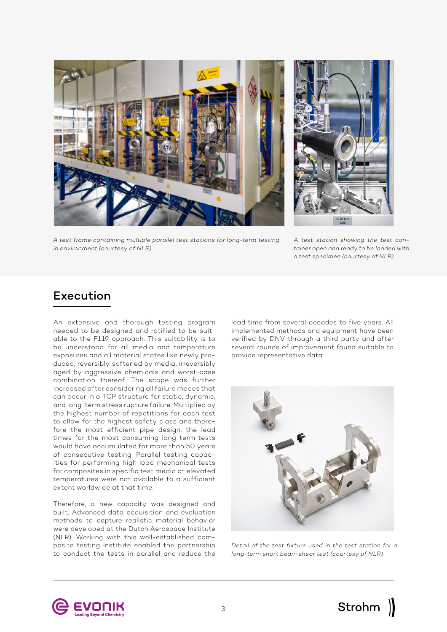

*A test frame containing multiple parallel test stations for long-term testing in environment (courtesy of NLR).*

*A test station showing the test container open and ready to be loaded with a test specimen (courtesy of NLR).*

#### Execution

An extensive and thorough testing program needed to be designed and ratified to be suitable to the F119 approach. This suitability is to be understood for all media and temperature exposures and all material states like newly produced, reversibly softened by media, irreversibly aged by aggressive chemicals and worst-case combination thereof. The scope was further increased after considering all failure modes that can occur in a TCP structure for static, dynamic, and long-term stress rupture failure. Multiplied by the highest number of repetitions for each test to allow for the highest safety class and therefore the most efficient pipe design, the lead times for the most consuming long-term tests would have accumulated for more than 50 years of consecutive testing. Parallel testing capacities for performing high load mechanical tests for composites in specific test media at elevated temperatures were not available to a sufficient extent worldwide at that time.

Therefore, a new capacity was designed and built. Advanced data acquisition and evaluation methods to capture realistic material behavior were developed at the Dutch Aerospace Institute (NLR). Working with this well-established composite testing institute enabled the partnership to conduct the tests in parallel and reduce the

lead time from several decades to five years. All implemented methods and equipment have been verified by DNV through a third party and after several rounds of improvement found suitable to provide representative data.



*Detail of the test fixture used in the test station for a long-term short beam shear test (courtesy of NLR).*



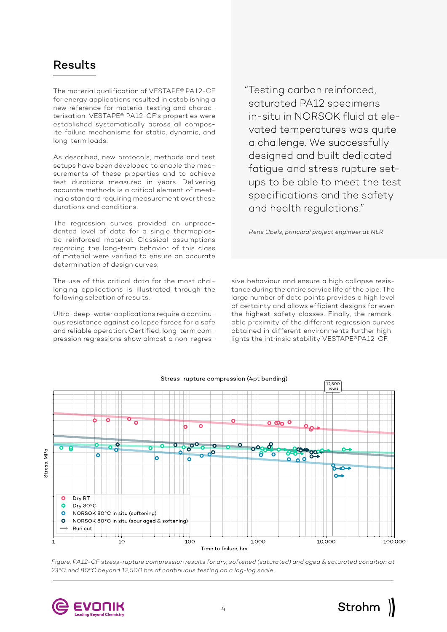### Results

The material qualification of VESTAPE® PA12-CF for energy applications resulted in establishing a new reference for material testing and characterisation. VESTAPE® PA12-CF's properties were established systematically across all composite failure mechanisms for static, dynamic, and long-term loads.

As described, new protocols, methods and test setups have been developed to enable the measurements of these properties and to achieve test durations measured in years. Delivering accurate methods is a critical element of meeting a standard requiring measurement over these durations and conditions.

The regression curves provided an unprecedented level of data for a single thermoplastic reinforced material. Classical assumptions regarding the long-term behavior of this class of material were verified to ensure an accurate determination of design curves.

The use of this critical data for the most challenging applications is illustrated through the following selection of results.

Ultra-deep-water applications require a continuous resistance against collapse forces for a safe and reliable operation. Certified, long-term compression regressions show almost a non-regres"Testing carbon reinforced, saturated PA12 specimens in-situ in NORSOK fluid at elevated temperatures was quite a challenge. We successfully designed and built dedicated fatigue and stress rupture setups to be able to meet the test specifications and the safety and health regulations."

*Rens Ubels, principal project engineer at NLR* 

sive behaviour and ensure a high collapse resistance during the entire service life of the pipe. The large number of data points provides a high level of certainty and allows efficient designs for even the highest safety classes. Finally, the remarkable proximity of the different regression curves obtained in different environments further highlights the intrinsic stability VESTAPE®PA12-CF.



*Figure. PA12-CF stress-rupture compression results for dry, softened (saturated) and aged & saturated condition at 23ºC and 80ºC beyond 12,500 hrs of continuous testing on a log-log scale.*

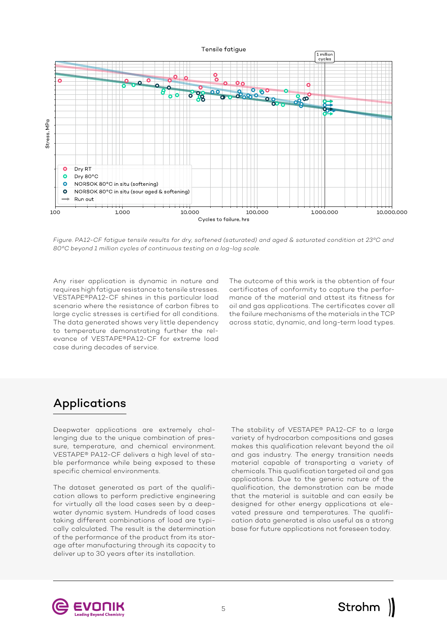

*Figure. PA12-CF fatigue tensile results for dry, softened (saturated) and aged & saturated condition at 23ºC and 80ºC beyond 1 million cycles of continuous testing on a log-log scale.*

Any riser application is dynamic in nature and requires high fatigue resistance to tensile stresses. VESTAPE®PA12-CF shines in this particular load scenario where the resistance of carbon fibres to large cyclic stresses is certified for all conditions. The data generated shows very little dependency to temperature demonstrating further the relevance of VESTAPE®PA12-CF for extreme load case during decades of service.

The outcome of this work is the obtention of four certificates of conformity to capture the performance of the material and attest its fitness for oil and gas applications. The certificates cover all the failure mechanisms of the materials in the TCP across static, dynamic, and long-term load types.

### Applications

Deepwater applications are extremely challenging due to the unique combination of pressure, temperature, and chemical environment. VESTAPE® PA12-CF delivers a high level of stable performance while being exposed to these specific chemical environments.

The dataset generated as part of the qualification allows to perform predictive engineering for virtually all the load cases seen by a deepwater dynamic system. Hundreds of load cases taking different combinations of load are typically calculated. The result is the determination of the performance of the product from its storage after manufacturing through its capacity to deliver up to 30 years after its installation.

The stability of VESTAPE® PA12-CF to a large variety of hydrocarbon compositions and gases makes this qualification relevant beyond the oil and gas industry. The energy transition needs material capable of transporting a variety of chemicals. This qualification targeted oil and gas applications. Due to the generic nature of the qualification, the demonstration can be made that the material is suitable and can easily be designed for other energy applications at elevated pressure and temperatures. The qualification data generated is also useful as a strong base for future applications not foreseen today.